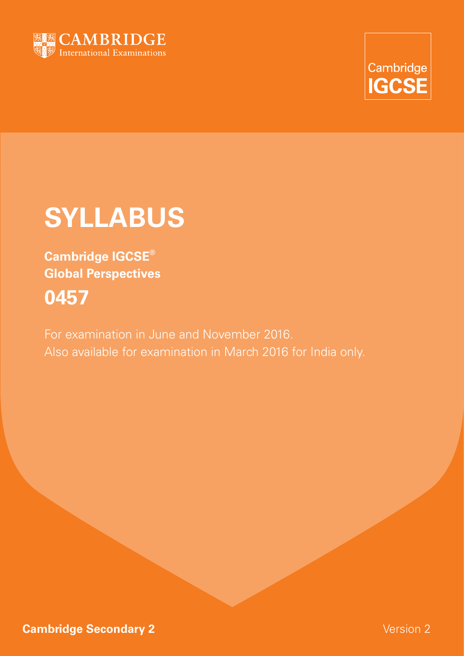



# **Syllabus**

**Cambridge IGCSE® Global Perspectives 0457**

For examination in June and November 2016. Also available for examination in March 2016 for India only.

**Cambridge Secondary 2** Version 2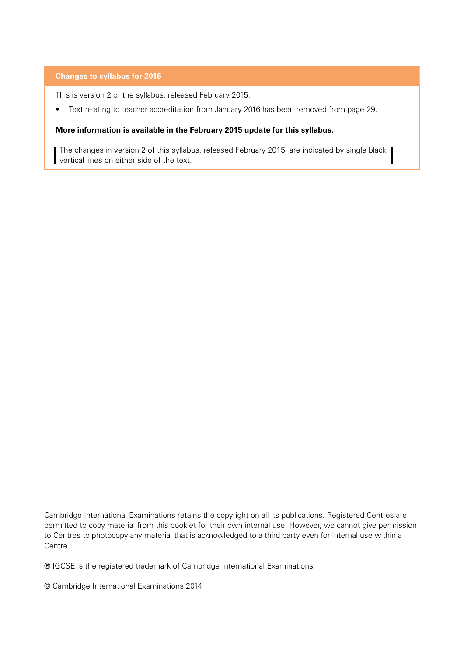#### **Changes to syllabus for 2016**

This is version 2 of the syllabus, released February 2015.

• Text relating to teacher accreditation from January 2016 has been removed from page 29.

#### **More information is available in the February 2015 update for this syllabus.**

The changes in version 2 of this syllabus, released February 2015, are indicated by single black vertical lines on either side of the text.

Cambridge International Examinations retains the copyright on all its publications. Registered Centres are permitted to copy material from this booklet for their own internal use. However, we cannot give permission to Centres to photocopy any material that is acknowledged to a third party even for internal use within a Centre.

® IGCSE is the registered trademark of Cambridge International Examinations

© Cambridge International Examinations 2014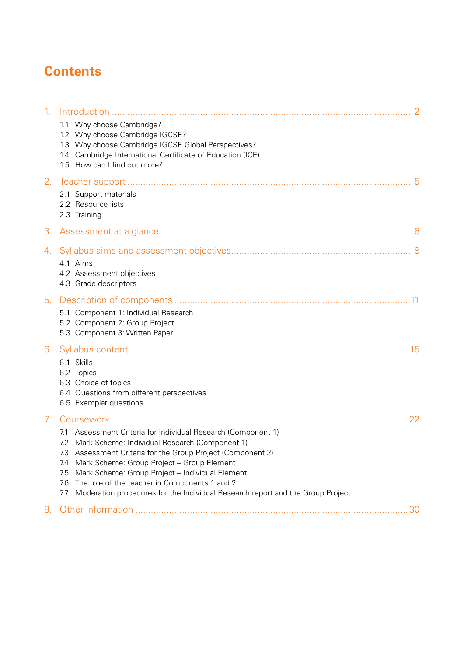# **Contents**

| $\mathbf{1}$ . |                                                                                                                                                                                                                                                                                                                                                                                                                                                    |
|----------------|----------------------------------------------------------------------------------------------------------------------------------------------------------------------------------------------------------------------------------------------------------------------------------------------------------------------------------------------------------------------------------------------------------------------------------------------------|
|                | 1.1 Why choose Cambridge?<br>1.2 Why choose Cambridge IGCSE?<br>1.3 Why choose Cambridge IGCSE Global Perspectives?<br>1.4 Cambridge International Certificate of Education (ICE)<br>1.5 How can I find out more?                                                                                                                                                                                                                                  |
| 2.             | 2.1 Support materials<br>2.2 Resource lists<br>2.3 Training                                                                                                                                                                                                                                                                                                                                                                                        |
| 3.             |                                                                                                                                                                                                                                                                                                                                                                                                                                                    |
| 4.             | 4.1 Aims<br>4.2 Assessment objectives<br>4.3 Grade descriptors                                                                                                                                                                                                                                                                                                                                                                                     |
| 5.             |                                                                                                                                                                                                                                                                                                                                                                                                                                                    |
|                | 5.1 Component 1: Individual Research<br>5.2 Component 2: Group Project<br>5.3 Component 3: Written Paper                                                                                                                                                                                                                                                                                                                                           |
| 6.             | 6.1 Skills<br>6.2 Topics<br>6.3 Choice of topics<br>6.4 Questions from different perspectives<br>6.5 Exemplar questions                                                                                                                                                                                                                                                                                                                            |
| 7 <sub>1</sub> | 22                                                                                                                                                                                                                                                                                                                                                                                                                                                 |
|                | 7.1 Assessment Criteria for Individual Research (Component 1)<br>7.2 Mark Scheme: Individual Research (Component 1)<br>7.3 Assessment Criteria for the Group Project (Component 2)<br>Mark Scheme: Group Project - Group Element<br>7.4<br>Mark Scheme: Group Project - Individual Element<br>7.5<br>The role of the teacher in Components 1 and 2<br>7.6<br>Moderation procedures for the Individual Research report and the Group Project<br>7.7 |
| 8.             |                                                                                                                                                                                                                                                                                                                                                                                                                                                    |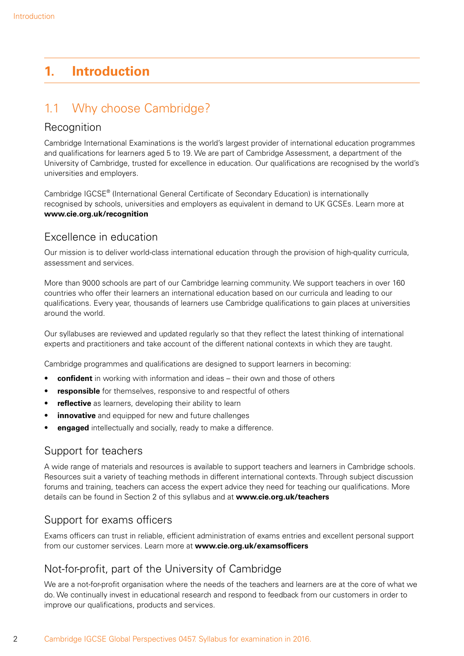# <span id="page-3-0"></span>**1. Introduction**

# 1.1 Why choose Cambridge?

### **Recognition**

Cambridge International Examinations is the world's largest provider of international education programmes and qualifications for learners aged 5 to 19. We are part of Cambridge Assessment, a department of the University of Cambridge, trusted for excellence in education. Our qualifications are recognised by the world's universities and employers.

Cambridge IGCSE® (International General Certificate of Secondary Education) is internationally recognised by schools, universities and employers as equivalent in demand to UK GCSEs. Learn more at **www.cie.org.uk/recognition**

### Excellence in education

Our mission is to deliver world-class international education through the provision of high-quality curricula, assessment and services.

More than 9000 schools are part of our Cambridge learning community. We support teachers in over 160 countries who offer their learners an international education based on our curricula and leading to our qualifications. Every year, thousands of learners use Cambridge qualifications to gain places at universities around the world.

Our syllabuses are reviewed and updated regularly so that they reflect the latest thinking of international experts and practitioners and take account of the different national contexts in which they are taught.

Cambridge programmes and qualifications are designed to support learners in becoming:

- **confident** in working with information and ideas their own and those of others
- **responsible** for themselves, responsive to and respectful of others
- **reflective** as learners, developing their ability to learn
- **innovative** and equipped for new and future challenges
- **engaged** intellectually and socially, ready to make a difference.

### Support for teachers

A wide range of materials and resources is available to support teachers and learners in Cambridge schools. Resources suit a variety of teaching methods in different international contexts. Through subject discussion forums and training, teachers can access the expert advice they need for teaching our qualifications. More details can be found in Section 2 of this syllabus and at **www.cie.org.uk/teachers**

### Support for exams officers

Exams officers can trust in reliable, efficient administration of exams entries and excellent personal support from our customer services. Learn more at **www.cie.org.uk/examsofficers**

### Not-for-profit, part of the University of Cambridge

We are a not-for-profit organisation where the needs of the teachers and learners are at the core of what we do. We continually invest in educational research and respond to feedback from our customers in order to improve our qualifications, products and services.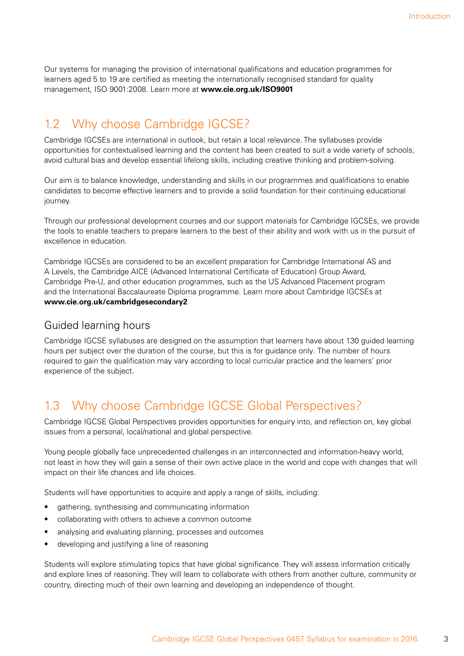<span id="page-4-0"></span>Our systems for managing the provision of international qualifications and education programmes for learners aged 5 to 19 are certified as meeting the internationally recognised standard for quality management, ISO 9001:2008. Learn more at **www.cie.org.uk/ISO9001**

### 1.2 Why choose Cambridge IGCSE?

Cambridge IGCSEs are international in outlook, but retain a local relevance. The syllabuses provide opportunities for contextualised learning and the content has been created to suit a wide variety of schools, avoid cultural bias and develop essential lifelong skills, including creative thinking and problem-solving.

Our aim is to balance knowledge, understanding and skills in our programmes and qualifications to enable candidates to become effective learners and to provide a solid foundation for their continuing educational journey.

Through our professional development courses and our support materials for Cambridge IGCSEs, we provide the tools to enable teachers to prepare learners to the best of their ability and work with us in the pursuit of excellence in education.

Cambridge IGCSEs are considered to be an excellent preparation for Cambridge International AS and A Levels, the Cambridge AICE (Advanced International Certificate of Education) Group Award, Cambridge Pre-U, and other education programmes, such as the US Advanced Placement program and the International Baccalaureate Diploma programme. Learn more about Cambridge IGCSEs at **www.cie.org.uk/cambridgesecondary2**

### Guided learning hours

Cambridge IGCSE syllabuses are designed on the assumption that learners have about 130 guided learning hours per subject over the duration of the course, but this is for guidance only. The number of hours required to gain the qualification may vary according to local curricular practice and the learners' prior experience of the subject.

# 1.3 Why choose Cambridge IGCSE Global Perspectives?

Cambridge IGCSE Global Perspectives provides opportunities for enquiry into, and reflection on, key global issues from a personal, local/national and global perspective.

Young people globally face unprecedented challenges in an interconnected and information-heavy world, not least in how they will gain a sense of their own active place in the world and cope with changes that will impact on their life chances and life choices.

Students will have opportunities to acquire and apply a range of skills, including:

- gathering, synthesising and communicating information
- collaborating with others to achieve a common outcome
- analysing and evaluating planning, processes and outcomes
- developing and justifying a line of reasoning

Students will explore stimulating topics that have global significance. They will assess information critically and explore lines of reasoning. They will learn to collaborate with others from another culture, community or country, directing much of their own learning and developing an independence of thought.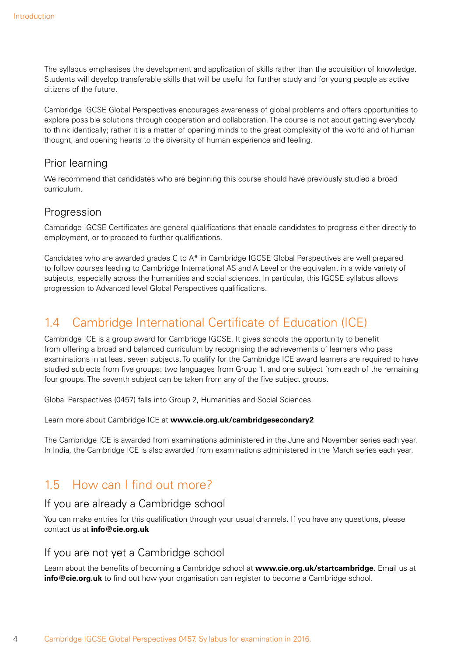<span id="page-5-0"></span>The syllabus emphasises the development and application of skills rather than the acquisition of knowledge. Students will develop transferable skills that will be useful for further study and for young people as active citizens of the future.

Cambridge IGCSE Global Perspectives encourages awareness of global problems and offers opportunities to explore possible solutions through cooperation and collaboration. The course is not about getting everybody to think identically; rather it is a matter of opening minds to the great complexity of the world and of human thought, and opening hearts to the diversity of human experience and feeling.

### Prior learning

We recommend that candidates who are beginning this course should have previously studied a broad curriculum.

### **Progression**

Cambridge IGCSE Certificates are general qualifications that enable candidates to progress either directly to employment, or to proceed to further qualifications.

Candidates who are awarded grades C to A\* in Cambridge IGCSE Global Perspectives are well prepared to follow courses leading to Cambridge International AS and A Level or the equivalent in a wide variety of subjects, especially across the humanities and social sciences. In particular, this IGCSE syllabus allows progression to Advanced level Global Perspectives qualifications.

# 1.4 Cambridge International Certificate of Education (ICE)

Cambridge ICE is a group award for Cambridge IGCSE. It gives schools the opportunity to benefit from offering a broad and balanced curriculum by recognising the achievements of learners who pass examinations in at least seven subjects. To qualify for the Cambridge ICE award learners are required to have studied subjects from five groups: two languages from Group 1, and one subject from each of the remaining four groups. The seventh subject can be taken from any of the five subject groups.

Global Perspectives (0457) falls into Group 2, Humanities and Social Sciences.

Learn more about Cambridge ICE at **www.cie.org.uk/cambridgesecondary2**

The Cambridge ICE is awarded from examinations administered in the June and November series each year. In India, the Cambridge ICE is also awarded from examinations administered in the March series each year.

# 1.5 How can I find out more?

### If you are already a Cambridge school

You can make entries for this qualification through your usual channels. If you have any questions, please contact us at **info@cie.org.uk**

### If you are not yet a Cambridge school

Learn about the benefits of becoming a Cambridge school at **www.cie.org.uk/startcambridge**. Email us at **info@cie.org.uk** to find out how your organisation can register to become a Cambridge school.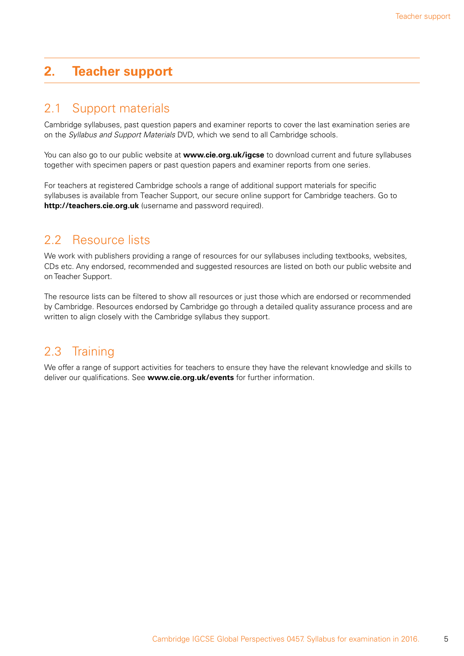# <span id="page-6-0"></span>**2. Teacher support**

### 2.1 Support materials

Cambridge syllabuses, past question papers and examiner reports to cover the last examination series are on the *Syllabus and Support Materials* DVD, which we send to all Cambridge schools.

You can also go to our public website at **www.cie.org.uk/igcse** to download current and future syllabuses together with specimen papers or past question papers and examiner reports from one series.

For teachers at registered Cambridge schools a range of additional support materials for specific syllabuses is available from Teacher Support, our secure online support for Cambridge teachers. Go to **http://teachers.cie.org.uk** (username and password required).

### 2.2 Resource lists

We work with publishers providing a range of resources for our syllabuses including textbooks, websites, CDs etc. Any endorsed, recommended and suggested resources are listed on both our public website and on Teacher Support.

The resource lists can be filtered to show all resources or just those which are endorsed or recommended by Cambridge. Resources endorsed by Cambridge go through a detailed quality assurance process and are written to align closely with the Cambridge syllabus they support.

# 2.3 Training

We offer a range of support activities for teachers to ensure they have the relevant knowledge and skills to deliver our qualifications. See **www.cie.org.uk/events** for further information.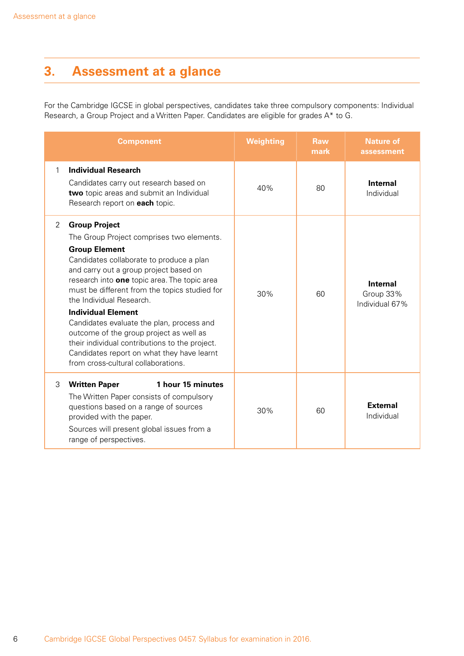# <span id="page-7-0"></span>**3. Assessment at a glance**

For the Cambridge IGCSE in global perspectives, candidates take three compulsory components: Individual Research, a Group Project and a Written Paper. Candidates are eligible for grades A\* to G.

|   | <b>Component</b>                                                                                                                                                                                                                                                                                                                                                                                                                                                                                                                                                         | <b>Weighting</b> | <b>Raw</b><br>mark | <b>Nature of</b><br>assessment                 |
|---|--------------------------------------------------------------------------------------------------------------------------------------------------------------------------------------------------------------------------------------------------------------------------------------------------------------------------------------------------------------------------------------------------------------------------------------------------------------------------------------------------------------------------------------------------------------------------|------------------|--------------------|------------------------------------------------|
| 1 | <b>Individual Research</b><br>Candidates carry out research based on<br>two topic areas and submit an Individual<br>Research report on each topic.                                                                                                                                                                                                                                                                                                                                                                                                                       | 40%              | 80                 | Internal<br>Individual                         |
| 2 | <b>Group Project</b><br>The Group Project comprises two elements.<br><b>Group Element</b><br>Candidates collaborate to produce a plan<br>and carry out a group project based on<br>research into one topic area. The topic area<br>must be different from the topics studied for<br>the Individual Research.<br><b>Individual Element</b><br>Candidates evaluate the plan, process and<br>outcome of the group project as well as<br>their individual contributions to the project.<br>Candidates report on what they have learnt<br>from cross-cultural collaborations. | 30%              | 60                 | <b>Internal</b><br>Group 33%<br>Individual 67% |
| 3 | 1 hour 15 minutes<br><b>Written Paper</b><br>The Written Paper consists of compulsory<br>questions based on a range of sources<br>provided with the paper.<br>Sources will present global issues from a<br>range of perspectives.                                                                                                                                                                                                                                                                                                                                        | 30%              | 60                 | <b>External</b><br>Individual                  |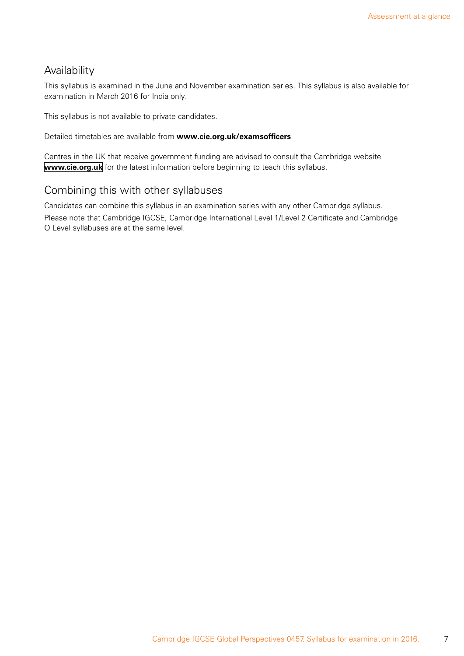### Availability

This syllabus is examined in the June and November examination series. This syllabus is also available for examination in March 2016 for India only.

This syllabus is not available to private candidates.

Detailed timetables are available from **www.cie.org.uk/examsofficers**

Centres in the UK that receive government funding are advised to consult the Cambridge website **[www.cie.org.uk](http://www.cie.org.uk)** for the latest information before beginning to teach this syllabus.

### Combining this with other syllabuses

Candidates can combine this syllabus in an examination series with any other Cambridge syllabus.

Please note that Cambridge IGCSE, Cambridge International Level 1/Level 2 Certificate and Cambridge O Level syllabuses are at the same level.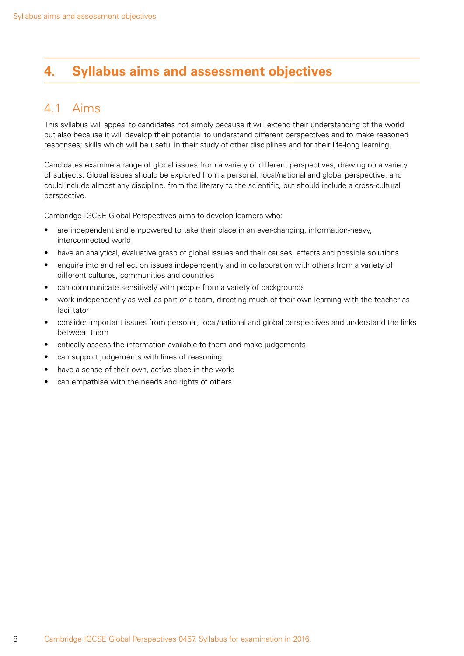# <span id="page-9-0"></span>**4. Syllabus aims and assessment objectives**

### 4.1 Aims

This syllabus will appeal to candidates not simply because it will extend their understanding of the world, but also because it will develop their potential to understand different perspectives and to make reasoned responses; skills which will be useful in their study of other disciplines and for their life-long learning.

Candidates examine a range of global issues from a variety of different perspectives, drawing on a variety of subjects. Global issues should be explored from a personal, local/national and global perspective, and could include almost any discipline, from the literary to the scientific, but should include a cross-cultural perspective.

Cambridge IGCSE Global Perspectives aims to develop learners who:

- are independent and empowered to take their place in an ever-changing, information-heavy, interconnected world
- have an analytical, evaluative grasp of global issues and their causes, effects and possible solutions
- enquire into and reflect on issues independently and in collaboration with others from a variety of different cultures, communities and countries
- can communicate sensitively with people from a variety of backgrounds
- work independently as well as part of a team, directing much of their own learning with the teacher as facilitator
- consider important issues from personal, local/national and global perspectives and understand the links between them
- critically assess the information available to them and make judgements
- can support judgements with lines of reasoning
- have a sense of their own, active place in the world
- can empathise with the needs and rights of others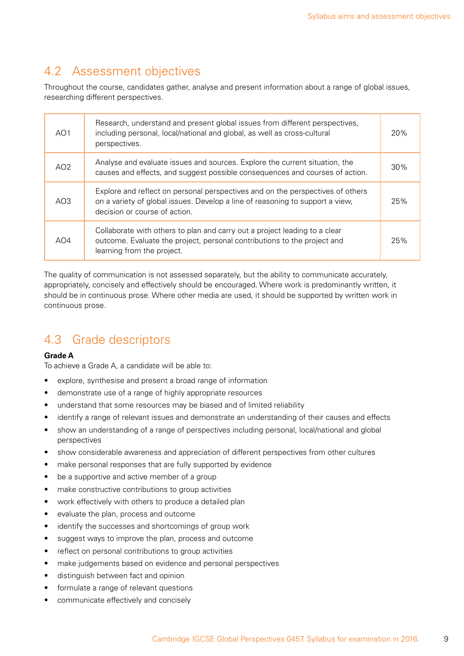### <span id="page-10-0"></span>4.2 Assessment objectives

Throughout the course, candidates gather, analyse and present information about a range of global issues, researching different perspectives.

| AO <sub>1</sub> | Research, understand and present global issues from different perspectives,<br>including personal, local/national and global, as well as cross-cultural<br>perspectives.                         | 20% |
|-----------------|--------------------------------------------------------------------------------------------------------------------------------------------------------------------------------------------------|-----|
| AO <sub>2</sub> | Analyse and evaluate issues and sources. Explore the current situation, the<br>causes and effects, and suggest possible consequences and courses of action.                                      | 30% |
| AO <sub>3</sub> | Explore and reflect on personal perspectives and on the perspectives of others<br>on a variety of global issues. Develop a line of reasoning to support a view,<br>decision or course of action. | 25% |
| AO4             | Collaborate with others to plan and carry out a project leading to a clear<br>outcome. Evaluate the project, personal contributions to the project and<br>learning from the project.             | 25% |

The quality of communication is not assessed separately, but the ability to communicate accurately, appropriately, concisely and effectively should be encouraged. Where work is predominantly written, it should be in continuous prose. Where other media are used, it should be supported by written work in continuous prose.

# 4.3 Grade descriptors

#### **Grade A**

To achieve a Grade A, a candidate will be able to:

- explore, synthesise and present a broad range of information
- demonstrate use of a range of highly appropriate resources
- understand that some resources may be biased and of limited reliability
- identify a range of relevant issues and demonstrate an understanding of their causes and effects
- show an understanding of a range of perspectives including personal, local/national and global perspectives
- show considerable awareness and appreciation of different perspectives from other cultures
- make personal responses that are fully supported by evidence
- be a supportive and active member of a group
- make constructive contributions to group activities
- work effectively with others to produce a detailed plan
- • evaluate the plan, process and outcome
- identify the successes and shortcomings of group work
- • suggest ways to improve the plan, process and outcome
- reflect on personal contributions to group activities
- make judgements based on evidence and personal perspectives
- • distinguish between fact and opinion
- formulate a range of relevant questions
- • communicate effectively and concisely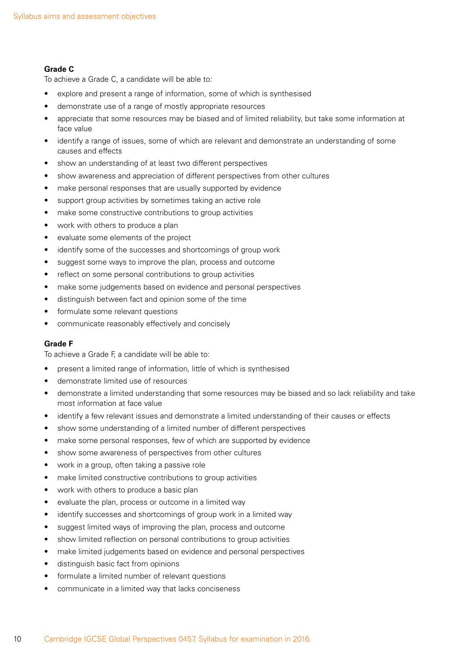#### **Grade C**

To achieve a Grade C, a candidate will be able to:

- explore and present a range of information, some of which is synthesised
- demonstrate use of a range of mostly appropriate resources
- appreciate that some resources may be biased and of limited reliability, but take some information at face value
- identify a range of issues, some of which are relevant and demonstrate an understanding of some causes and effects
- show an understanding of at least two different perspectives
- show awareness and appreciation of different perspectives from other cultures
- make personal responses that are usually supported by evidence
- support group activities by sometimes taking an active role
- make some constructive contributions to group activities
- work with others to produce a plan
- • evaluate some elements of the project
- identify some of the successes and shortcomings of group work
- suggest some ways to improve the plan, process and outcome
- reflect on some personal contributions to group activities
- make some judgements based on evidence and personal perspectives
- distinguish between fact and opinion some of the time
- formulate some relevant questions
- communicate reasonably effectively and concisely

#### **Grade F**

To achieve a Grade F, a candidate will be able to:

- present a limited range of information, little of which is synthesised
- • demonstrate limited use of resources
- demonstrate a limited understanding that some resources may be biased and so lack reliability and take most information at face value
- identify a few relevant issues and demonstrate a limited understanding of their causes or effects
- show some understanding of a limited number of different perspectives
- make some personal responses, few of which are supported by evidence
- • show some awareness of perspectives from other cultures
- work in a group, often taking a passive role
- make limited constructive contributions to group activities
- work with others to produce a basic plan
- • evaluate the plan, process or outcome in a limited way
- identify successes and shortcomings of group work in a limited way
- suggest limited ways of improving the plan, process and outcome
- • show limited reflection on personal contributions to group activities
- make limited judgements based on evidence and personal perspectives
- • distinguish basic fact from opinions
- formulate a limited number of relevant questions
- communicate in a limited way that lacks conciseness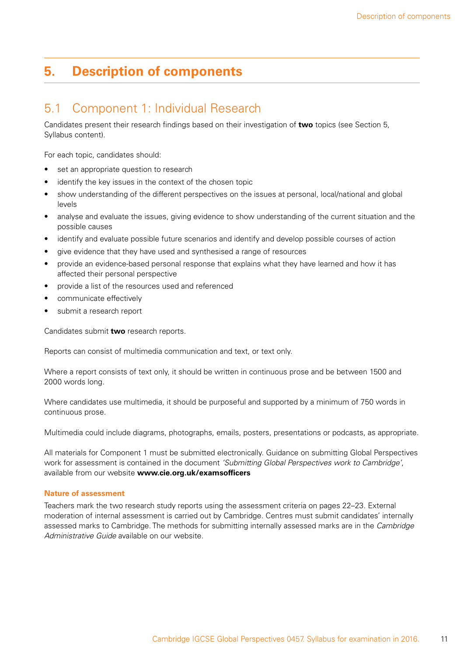# <span id="page-12-0"></span>**5. Description of components**

### 5.1 Component 1: Individual Research

Candidates present their research findings based on their investigation of **two** topics (see Section 5, Syllabus content).

For each topic, candidates should:

- set an appropriate question to research
- identify the key issues in the context of the chosen topic
- show understanding of the different perspectives on the issues at personal, local/national and global levels
- analyse and evaluate the issues, giving evidence to show understanding of the current situation and the possible causes
- identify and evaluate possible future scenarios and identify and develop possible courses of action
- give evidence that they have used and synthesised a range of resources
- provide an evidence-based personal response that explains what they have learned and how it has affected their personal perspective
- provide a list of the resources used and referenced
- communicate effectively
- submit a research report

Candidates submit **two** research reports.

Reports can consist of multimedia communication and text, or text only.

Where a report consists of text only, it should be written in continuous prose and be between 1500 and 2000 words long.

Where candidates use multimedia, it should be purposeful and supported by a minimum of 750 words in continuous prose.

Multimedia could include diagrams, photographs, emails, posters, presentations or podcasts, as appropriate.

All materials for Component 1 must be submitted electronically. Guidance on submitting Global Perspectives work for assessment is contained in the document *'Submitting Global Perspectives work to Cambridge'*, available from our website **www.cie.org.uk/examsofficers**

#### **Nature of assessment**

Teachers mark the two research study reports using the assessment criteria on pages 22–23. External moderation of internal assessment is carried out by Cambridge. Centres must submit candidates' internally assessed marks to Cambridge. The methods for submitting internally assessed marks are in the *Cambridge Administrative Guide* available on our website.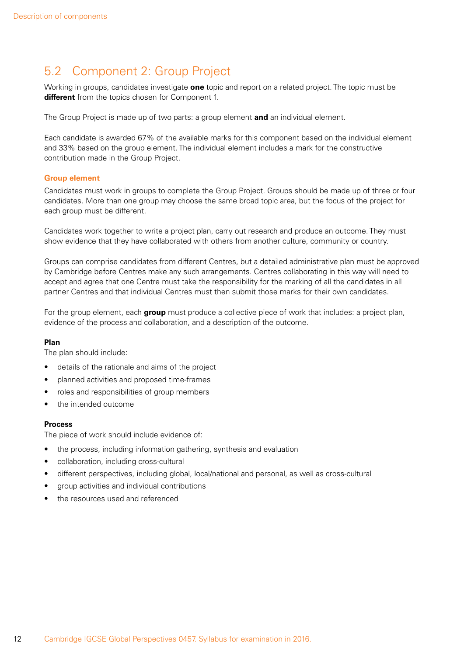# <span id="page-13-0"></span>5.2 Component 2: Group Project

Working in groups, candidates investigate **one** topic and report on a related project. The topic must be **different** from the topics chosen for Component 1.

The Group Project is made up of two parts: a group element **and** an individual element.

Each candidate is awarded 67% of the available marks for this component based on the individual element and 33% based on the group element. The individual element includes a mark for the constructive contribution made in the Group Project.

#### **Group element**

Candidates must work in groups to complete the Group Project. Groups should be made up of three or four candidates. More than one group may choose the same broad topic area, but the focus of the project for each group must be different.

Candidates work together to write a project plan, carry out research and produce an outcome. They must show evidence that they have collaborated with others from another culture, community or country.

Groups can comprise candidates from different Centres, but a detailed administrative plan must be approved by Cambridge before Centres make any such arrangements. Centres collaborating in this way will need to accept and agree that one Centre must take the responsibility for the marking of all the candidates in all partner Centres and that individual Centres must then submit those marks for their own candidates.

For the group element, each **group** must produce a collective piece of work that includes: a project plan, evidence of the process and collaboration, and a description of the outcome.

#### **Plan**

The plan should include:

- details of the rationale and aims of the project
- planned activities and proposed time-frames
- roles and responsibilities of group members
- the intended outcome

#### **Process**

The piece of work should include evidence of:

- the process, including information gathering, synthesis and evaluation
- • collaboration, including cross-cultural
- different perspectives, including global, local/national and personal, as well as cross-cultural
- • group activities and individual contributions
- the resources used and referenced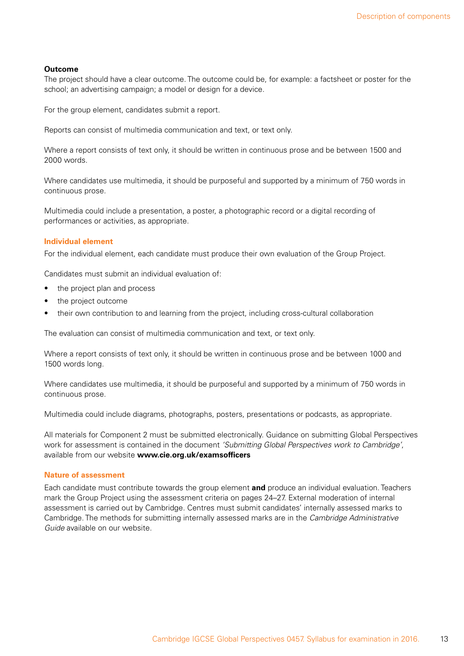#### **Outcome**

The project should have a clear outcome. The outcome could be, for example: a factsheet or poster for the school; an advertising campaign; a model or design for a device.

For the group element, candidates submit a report.

Reports can consist of multimedia communication and text, or text only.

Where a report consists of text only, it should be written in continuous prose and be between 1500 and 2000 words.

Where candidates use multimedia, it should be purposeful and supported by a minimum of 750 words in continuous prose.

Multimedia could include a presentation, a poster, a photographic record or a digital recording of performances or activities, as appropriate.

#### **Individual element**

For the individual element, each candidate must produce their own evaluation of the Group Project.

Candidates must submit an individual evaluation of:

- the project plan and process
- the project outcome
- their own contribution to and learning from the project, including cross-cultural collaboration

The evaluation can consist of multimedia communication and text, or text only.

Where a report consists of text only, it should be written in continuous prose and be between 1000 and 1500 words long.

Where candidates use multimedia, it should be purposeful and supported by a minimum of 750 words in continuous prose.

Multimedia could include diagrams, photographs, posters, presentations or podcasts, as appropriate.

All materials for Component 2 must be submitted electronically. Guidance on submitting Global Perspectives work for assessment is contained in the document *'Submitting Global Perspectives work to Cambridge'*, available from our website **www.cie.org.uk/examsofficers**

#### **Nature of assessment**

Each candidate must contribute towards the group element **and** produce an individual evaluation. Teachers mark the Group Project using the assessment criteria on pages 24–27. External moderation of internal assessment is carried out by Cambridge. Centres must submit candidates' internally assessed marks to Cambridge. The methods for submitting internally assessed marks are in the *Cambridge Administrative Guide* available on our website.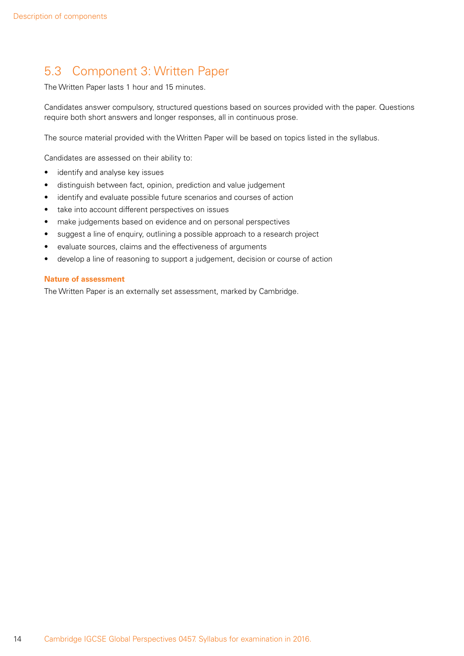# <span id="page-15-0"></span>5.3 Component 3: Written Paper

The Written Paper lasts 1 hour and 15 minutes.

Candidates answer compulsory, structured questions based on sources provided with the paper. Questions require both short answers and longer responses, all in continuous prose.

The source material provided with the Written Paper will be based on topics listed in the syllabus.

Candidates are assessed on their ability to:

- identify and analyse key issues
- distinguish between fact, opinion, prediction and value judgement
- identify and evaluate possible future scenarios and courses of action
- take into account different perspectives on issues
- make judgements based on evidence and on personal perspectives
- suggest a line of enquiry, outlining a possible approach to a research project
- • evaluate sources, claims and the effectiveness of arguments
- develop a line of reasoning to support a judgement, decision or course of action

#### **Nature of assessment**

The Written Paper is an externally set assessment, marked by Cambridge.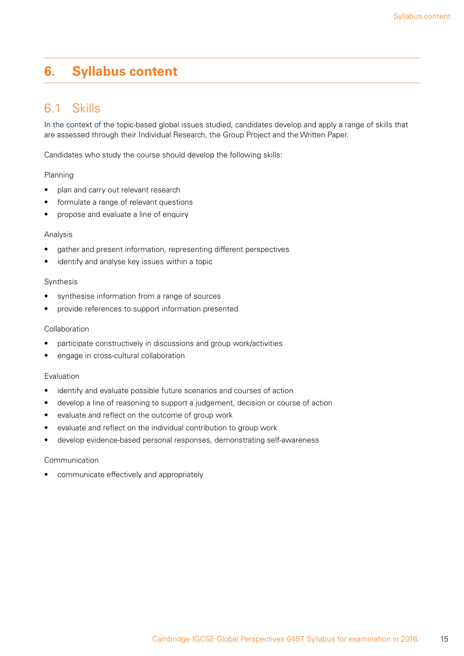# <span id="page-16-0"></span>**6. Syllabus content**

### 6.1 Skills

In the context of the topic-based global issues studied, candidates develop and apply a range of skills that are assessed through their Individual Research, the Group Project and the Written Paper.

Candidates who study the course should develop the following skills:

#### Planning

- plan and carry out relevant research
- formulate a range of relevant questions
- propose and evaluate a line of enquiry

#### Analysis

- gather and present information, representing different perspectives
- identify and analyse key issues within a topic

#### Synthesis

- • synthesise information from a range of sources
- • provide references to support information presented

#### Collaboration

- participate constructively in discussions and group work/activities
- engage in cross-cultural collaboration

#### Evaluation

- identify and evaluate possible future scenarios and courses of action
- develop a line of reasoning to support a judgement, decision or course of action
- evaluate and reflect on the outcome of group work
- evaluate and reflect on the individual contribution to group work
- develop evidence-based personal responses, demonstrating self-awareness

#### Communication

communicate effectively and appropriately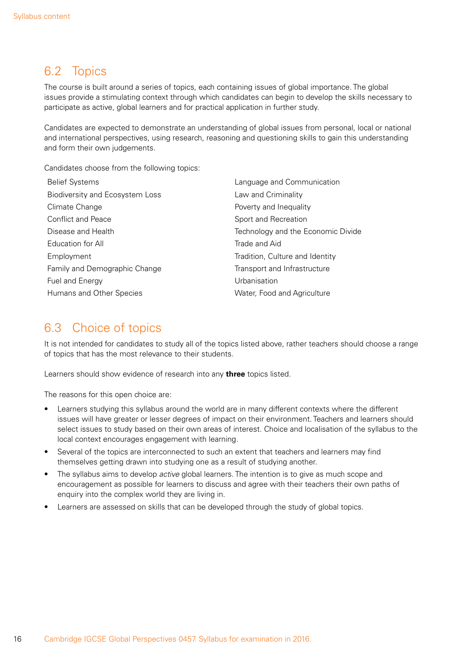### <span id="page-17-0"></span>6.2 Topics

The course is built around a series of topics, each containing issues of global importance. The global issues provide a stimulating context through which candidates can begin to develop the skills necessary to participate as active, global learners and for practical application in further study.

Candidates are expected to demonstrate an understanding of global issues from personal, local or national and international perspectives, using research, reasoning and questioning skills to gain this understanding and form their own judgements.

Candidates choose from the following topics:

| <b>Belief Systems</b>           | Language and Communication         |
|---------------------------------|------------------------------------|
| Biodiversity and Ecosystem Loss | Law and Criminality                |
| Climate Change                  | Poverty and Inequality             |
| Conflict and Peace              | Sport and Recreation               |
| Disease and Health              | Technology and the Economic Divide |
| Education for All               | Trade and Aid                      |
| Employment                      | Tradition, Culture and Identity    |
| Family and Demographic Change   | Transport and Infrastructure       |
| Fuel and Energy                 | Urbanisation                       |
| Humans and Other Species        | Water, Food and Agriculture        |

### 6.3 Choice of topics

It is not intended for candidates to study all of the topics listed above, rather teachers should choose a range of topics that has the most relevance to their students.

Learners should show evidence of research into any **three** topics listed.

The reasons for this open choice are:

- Learners studying this syllabus around the world are in many different contexts where the different issues will have greater or lesser degrees of impact on their environment. Teachers and learners should select issues to study based on their own areas of interest. Choice and localisation of the syllabus to the local context encourages engagement with learning.
- Several of the topics are interconnected to such an extent that teachers and learners may find themselves getting drawn into studying one as a result of studying another.
- The syllabus aims to develop *active* global learners. The intention is to give as much scope and encouragement as possible for learners to discuss and agree with their teachers their own paths of enquiry into the complex world they are living in.
- Learners are assessed on skills that can be developed through the study of global topics.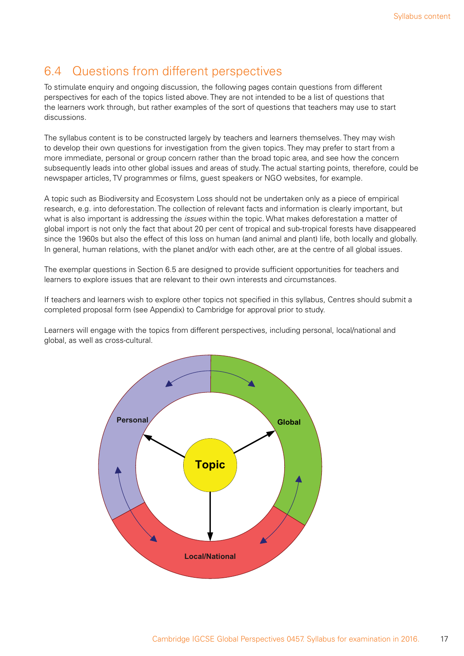### <span id="page-18-0"></span>6.4 Questions from different perspectives

To stimulate enquiry and ongoing discussion, the following pages contain questions from different perspectives for each of the topics listed above. They are not intended to be a list of questions that the learners work through, but rather examples of the sort of questions that teachers may use to start discussions.

The syllabus content is to be constructed largely by teachers and learners themselves. They may wish to develop their own questions for investigation from the given topics. They may prefer to start from a more immediate, personal or group concern rather than the broad topic area, and see how the concern subsequently leads into other global issues and areas of study. The actual starting points, therefore, could be newspaper articles, TV programmes or films, guest speakers or NGO websites, for example.

A topic such as Biodiversity and Ecosystem Loss should not be undertaken only as a piece of empirical research, e.g. into deforestation. The collection of relevant facts and information is clearly important, but what is also important is addressing the *issues* within the topic. What makes deforestation a matter of global import is not only the fact that about 20 per cent of tropical and sub-tropical forests have disappeared since the 1960s but also the effect of this loss on human (and animal and plant) life, both locally and globally. In general, human relations, with the planet and/or with each other, are at the centre of all global issues.

The exemplar questions in Section 6.5 are designed to provide sufficient opportunities for teachers and learners to explore issues that are relevant to their own interests and circumstances.

If teachers and learners wish to explore other topics not specified in this syllabus, Centres should submit a completed proposal form (see Appendix) to Cambridge for approval prior to study.

Learners will engage with the topics from different perspectives, including personal, local/national and global, as well as cross-cultural.

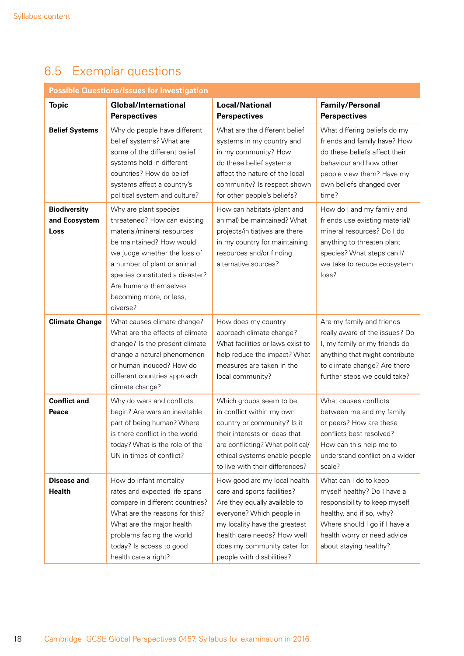# <span id="page-19-0"></span>6.5 Exemplar questions

| <b>Possible Questions/Issues for Investigation</b> |                                                                                                                                                                                                                                                                                   |                                                                                                                                                                                                                                                       |                                                                                                                                                                                                             |  |  |
|----------------------------------------------------|-----------------------------------------------------------------------------------------------------------------------------------------------------------------------------------------------------------------------------------------------------------------------------------|-------------------------------------------------------------------------------------------------------------------------------------------------------------------------------------------------------------------------------------------------------|-------------------------------------------------------------------------------------------------------------------------------------------------------------------------------------------------------------|--|--|
| <b>Topic</b>                                       | <b>Global/International</b><br><b>Perspectives</b>                                                                                                                                                                                                                                | <b>Local/National</b><br><b>Perspectives</b>                                                                                                                                                                                                          | <b>Family/Personal</b><br><b>Perspectives</b>                                                                                                                                                               |  |  |
| <b>Belief Systems</b>                              | Why do people have different<br>belief systems? What are<br>some of the different belief<br>systems held in different<br>countries? How do belief<br>systems affect a country's<br>political system and culture?                                                                  | What are the different belief<br>systems in my country and<br>in my community? How<br>do these belief systems<br>affect the nature of the local<br>community? Is respect shown<br>for other people's beliefs?                                         | What differing beliefs do my<br>friends and family have? How<br>do these beliefs affect their<br>behaviour and how other<br>people view them? Have my<br>own beliefs changed over<br>time?                  |  |  |
| <b>Biodiversity</b><br>and Ecosystem<br>Loss       | Why are plant species<br>threatened? How can existing<br>material/mineral resources<br>be maintained? How would<br>we judge whether the loss of<br>a number of plant or animal<br>species constituted a disaster?<br>Are humans themselves<br>becoming more, or less,<br>diverse? | How can habitats (plant and<br>animal) be maintained? What<br>projects/initiatives are there<br>in my country for maintaining<br>resources and/or finding<br>alternative sources?                                                                     | How do I and my family and<br>friends use existing material/<br>mineral resources? Do I do<br>anything to threaten plant<br>species? What steps can I/<br>we take to reduce ecosystem<br>loss?              |  |  |
| <b>Climate Change</b>                              | What causes climate change?<br>What are the effects of climate<br>change? Is the present climate<br>change a natural phenomenon<br>or human induced? How do<br>different countries approach<br>climate change?                                                                    | How does my country<br>approach climate change?<br>What facilities or laws exist to<br>help reduce the impact? What<br>measures are taken in the<br>local community?                                                                                  | Are my family and friends<br>really aware of the issues? Do<br>I, my family or my friends do<br>anything that might contribute<br>to climate change? Are there<br>further steps we could take?              |  |  |
| <b>Conflict and</b><br>Peace                       | Why do wars and conflicts<br>begin? Are wars an inevitable<br>part of being human? Where<br>is there conflict in the world<br>today? What is the role of the<br>UN in times of conflict?                                                                                          | Which groups seem to be<br>in conflict within my own<br>country or community? Is it<br>their interests or ideas that<br>are conflicting? What political/<br>ethical systems enable people<br>to live with their differences?                          | What causes conflicts<br>between me and my family<br>or peers? How are these<br>conflicts best resolved?<br>How can this help me to<br>understand conflict on a wider<br>scale?                             |  |  |
| <b>Disease and</b><br><b>Health</b>                | How do infant mortality<br>rates and expected life spans<br>compare in different countries?<br>What are the reasons for this?<br>What are the major health<br>problems facing the world<br>today? Is access to good<br>health care a right?                                       | How good are my local health<br>care and sports facilities?<br>Are they equally available to<br>everyone? Which people in<br>my locality have the greatest<br>health care needs? How well<br>does my community cater for<br>people with disabilities? | What can I do to keep<br>myself healthy? Do I have a<br>responsibility to keep myself<br>healthy, and if so, why?<br>Where should I go if I have a<br>health worry or need advice<br>about staying healthy? |  |  |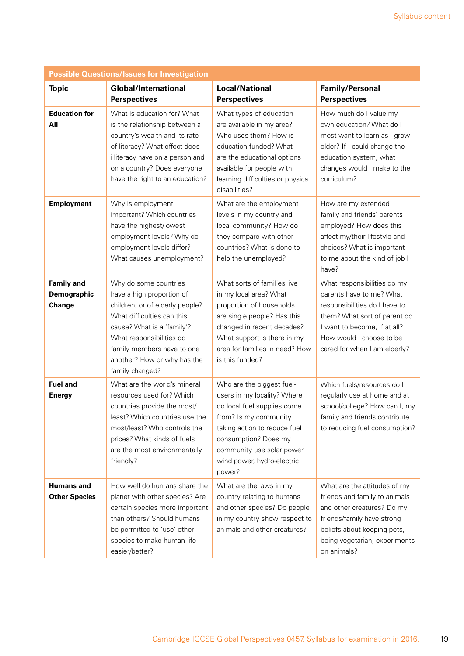| <b>Possible Questions/Issues for Investigation</b> |                                                                                                                                                                                                                                                               |                                                                                                                                                                                                                                                |                                                                                                                                                                                                                      |  |  |
|----------------------------------------------------|---------------------------------------------------------------------------------------------------------------------------------------------------------------------------------------------------------------------------------------------------------------|------------------------------------------------------------------------------------------------------------------------------------------------------------------------------------------------------------------------------------------------|----------------------------------------------------------------------------------------------------------------------------------------------------------------------------------------------------------------------|--|--|
| <b>Topic</b>                                       | <b>Global/International</b><br><b>Perspectives</b>                                                                                                                                                                                                            | <b>Local/National</b><br><b>Perspectives</b>                                                                                                                                                                                                   | <b>Family/Personal</b><br><b>Perspectives</b>                                                                                                                                                                        |  |  |
| <b>Education for</b><br>All                        | What is education for? What<br>is the relationship between a<br>country's wealth and its rate<br>of literacy? What effect does<br>illiteracy have on a person and<br>on a country? Does everyone<br>have the right to an education?                           | What types of education<br>are available in my area?<br>Who uses them? How is<br>education funded? What<br>are the educational options<br>available for people with<br>learning difficulties or physical<br>disabilities?                      | How much do I value my<br>own education? What do I<br>most want to learn as I grow<br>older? If I could change the<br>education system, what<br>changes would I make to the<br>curriculum?                           |  |  |
| <b>Employment</b>                                  | Why is employment<br>important? Which countries<br>have the highest/lowest<br>employment levels? Why do<br>employment levels differ?<br>What causes unemployment?                                                                                             | What are the employment<br>levels in my country and<br>local community? How do<br>they compare with other<br>countries? What is done to<br>help the unemployed?                                                                                | How are my extended<br>family and friends' parents<br>employed? How does this<br>affect my/their lifestyle and<br>choices? What is important<br>to me about the kind of job I<br>have?                               |  |  |
| <b>Family and</b><br>Demographic<br>Change         | Why do some countries<br>have a high proportion of<br>children, or of elderly people?<br>What difficulties can this<br>cause? What is a 'family'?<br>What responsibilities do<br>family members have to one<br>another? How or why has the<br>family changed? | What sorts of families live<br>in my local area? What<br>proportion of households<br>are single people? Has this<br>changed in recent decades?<br>What support is there in my<br>area for families in need? How<br>is this funded?             | What responsibilities do my<br>parents have to me? What<br>responsibilities do I have to<br>them? What sort of parent do<br>I want to become, if at all?<br>How would I choose to be<br>cared for when I am elderly? |  |  |
| <b>Fuel and</b><br><b>Energy</b>                   | What are the world's mineral<br>resources used for? Which<br>countries provide the most/<br>least? Which countries use the<br>most/least? Who controls the<br>prices? What kinds of fuels<br>are the most environmentally<br>friendly?                        | Who are the biggest fuel-<br>users in my locality? Where<br>do local fuel supplies come<br>from? Is my community<br>taking action to reduce fuel<br>consumption? Does my<br>community use solar power,<br>wind power, hydro-electric<br>power? | Which fuels/resources do I<br>regularly use at home and at<br>school/college? How can I, my<br>family and friends contribute<br>to reducing fuel consumption?                                                        |  |  |
| <b>Humans and</b><br><b>Other Species</b>          | How well do humans share the<br>planet with other species? Are<br>certain species more important<br>than others? Should humans<br>be permitted to 'use' other<br>species to make human life<br>easier/better?                                                 | What are the laws in my<br>country relating to humans<br>and other species? Do people<br>in my country show respect to<br>animals and other creatures?                                                                                         | What are the attitudes of my<br>friends and family to animals<br>and other creatures? Do my<br>friends/family have strong<br>beliefs about keeping pets,<br>being vegetarian, experiments<br>on animals?             |  |  |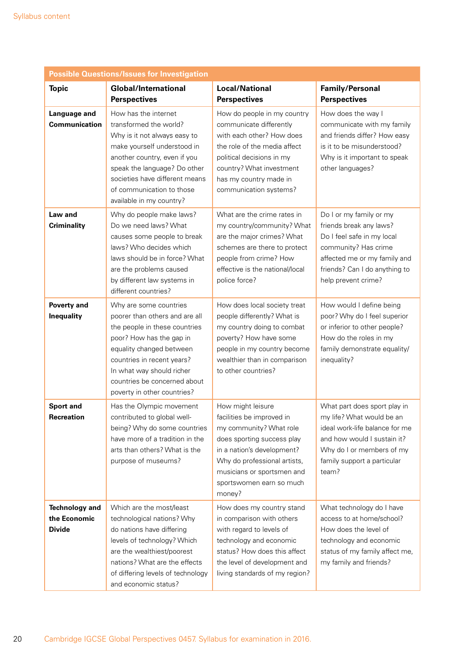| <b>Possible Questions/Issues for Investigation</b>     |                                                                                                                                                                                                                                                                             |                                                                                                                                                                                                                                           |                                                                                                                                                                                                  |  |
|--------------------------------------------------------|-----------------------------------------------------------------------------------------------------------------------------------------------------------------------------------------------------------------------------------------------------------------------------|-------------------------------------------------------------------------------------------------------------------------------------------------------------------------------------------------------------------------------------------|--------------------------------------------------------------------------------------------------------------------------------------------------------------------------------------------------|--|
| <b>Topic</b>                                           | <b>Global/International</b><br><b>Perspectives</b>                                                                                                                                                                                                                          | <b>Local/National</b><br><b>Perspectives</b>                                                                                                                                                                                              | <b>Family/Personal</b><br><b>Perspectives</b>                                                                                                                                                    |  |
| <b>Language and</b><br><b>Communication</b>            | How has the internet<br>transformed the world?<br>Why is it not always easy to<br>make yourself understood in<br>another country, even if you<br>speak the language? Do other<br>societies have different means<br>of communication to those<br>available in my country?    | How do people in my country<br>communicate differently<br>with each other? How does<br>the role of the media affect<br>political decisions in my<br>country? What investment<br>has my country made in<br>communication systems?          | How does the way I<br>communicate with my family<br>and friends differ? How easy<br>is it to be misunderstood?<br>Why is it important to speak<br>other languages?                               |  |
| <b>Law and</b><br><b>Criminality</b>                   | Why do people make laws?<br>Do we need laws? What<br>causes some people to break<br>laws? Who decides which<br>laws should be in force? What<br>are the problems caused<br>by different law systems in<br>different countries?                                              | What are the crime rates in<br>my country/community? What<br>are the major crimes? What<br>schemes are there to protect<br>people from crime? How<br>effective is the national/local<br>police force?                                     | Do I or my family or my<br>friends break any laws?<br>Do I feel safe in my local<br>community? Has crime<br>affected me or my family and<br>friends? Can I do anything to<br>help prevent crime? |  |
| Poverty and<br><b>Inequality</b>                       | Why are some countries<br>poorer than others and are all<br>the people in these countries<br>poor? How has the gap in<br>equality changed between<br>countries in recent years?<br>In what way should richer<br>countries be concerned about<br>poverty in other countries? | How does local society treat<br>people differently? What is<br>my country doing to combat<br>poverty? How have some<br>people in my country become<br>wealthier than in comparison<br>to other countries?                                 | How would I define being<br>poor? Why do I feel superior<br>or inferior to other people?<br>How do the roles in my<br>family demonstrate equality/<br>inequality?                                |  |
| <b>Sport and</b><br>Recreation                         | Has the Olympic movement<br>contributed to global well-<br>being? Why do some countries<br>have more of a tradition in the<br>arts than others? What is the<br>purpose of museums?                                                                                          | How might leisure<br>facilities be improved in<br>my community? What role<br>does sporting success play<br>in a nation's development?<br>Why do professional artists,<br>musicians or sportsmen and<br>sportswomen earn so much<br>money? | What part does sport play in<br>my life? What would be an<br>ideal work-life balance for me<br>and how would I sustain it?<br>Why do I or members of my<br>family support a particular<br>team?  |  |
| <b>Technology and</b><br>the Economic<br><b>Divide</b> | Which are the most/least<br>technological nations? Why<br>do nations have differing<br>levels of technology? Which<br>are the wealthiest/poorest<br>nations? What are the effects<br>of differing levels of technology<br>and economic status?                              | How does my country stand<br>in comparison with others<br>with regard to levels of<br>technology and economic<br>status? How does this affect<br>the level of development and<br>living standards of my region?                           | What technology do I have<br>access to at home/school?<br>How does the level of<br>technology and economic<br>status of my family affect me,<br>my family and friends?                           |  |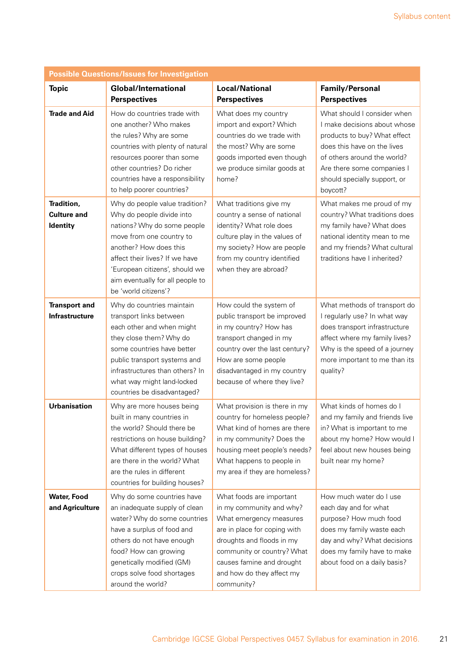| <b>Possible Questions/Issues for Investigation</b> |                                                                                                                                                                                                                                                                                  |                                                                                                                                                                                                                                                    |                                                                                                                                                                                                                                     |  |  |
|----------------------------------------------------|----------------------------------------------------------------------------------------------------------------------------------------------------------------------------------------------------------------------------------------------------------------------------------|----------------------------------------------------------------------------------------------------------------------------------------------------------------------------------------------------------------------------------------------------|-------------------------------------------------------------------------------------------------------------------------------------------------------------------------------------------------------------------------------------|--|--|
| <b>Topic</b>                                       | <b>Global/International</b><br><b>Perspectives</b>                                                                                                                                                                                                                               | <b>Local/National</b><br><b>Perspectives</b>                                                                                                                                                                                                       | <b>Family/Personal</b><br><b>Perspectives</b>                                                                                                                                                                                       |  |  |
| <b>Trade and Aid</b>                               | How do countries trade with<br>one another? Who makes<br>the rules? Why are some<br>countries with plenty of natural<br>resources poorer than some<br>other countries? Do richer<br>countries have a responsibility<br>to help poorer countries?                                 | What does my country<br>import and export? Which<br>countries do we trade with<br>the most? Why are some<br>goods imported even though<br>we produce similar goods at<br>home?                                                                     | What should I consider when<br>I make decisions about whose<br>products to buy? What effect<br>does this have on the lives<br>of others around the world?<br>Are there some companies I<br>should specially support, or<br>boycott? |  |  |
| Tradition,<br><b>Culture and</b><br>Identity       | Why do people value tradition?<br>Why do people divide into<br>nations? Why do some people<br>move from one country to<br>another? How does this<br>affect their lives? If we have<br>'European citizens', should we<br>aim eventually for all people to<br>be 'world citizens'? | What traditions give my<br>country a sense of national<br>identity? What role does<br>culture play in the values of<br>my society? How are people<br>from my country identified<br>when they are abroad?                                           | What makes me proud of my<br>country? What traditions does<br>my family have? What does<br>national identity mean to me<br>and my friends? What cultural<br>traditions have I inherited?                                            |  |  |
| <b>Transport and</b><br>Infrastructure             | Why do countries maintain<br>transport links between<br>each other and when might<br>they close them? Why do<br>some countries have better<br>public transport systems and<br>infrastructures than others? In<br>what way might land-locked<br>countries be disadvantaged?       | How could the system of<br>public transport be improved<br>in my country? How has<br>transport changed in my<br>country over the last century?<br>How are some people<br>disadvantaged in my country<br>because of where they live?                | What methods of transport do<br>I regularly use? In what way<br>does transport infrastructure<br>affect where my family lives?<br>Why is the speed of a journey<br>more important to me than its<br>quality?                        |  |  |
| <b>Urbanisation</b>                                | Why are more houses being<br>built in many countries in<br>the world? Should there be<br>restrictions on house building?<br>What different types of houses<br>are there in the world? What<br>are the rules in different<br>countries for building houses?                       | What provision is there in my<br>country for homeless people?<br>What kind of homes are there<br>in my community? Does the<br>housing meet people's needs?<br>What happens to people in<br>my area if they are homeless?                           | What kinds of homes do I<br>and my family and friends live<br>in? What is important to me<br>about my home? How would I<br>feel about new houses being<br>built near my home?                                                       |  |  |
| <b>Water, Food</b><br>and Agriculture              | Why do some countries have<br>an inadequate supply of clean<br>water? Why do some countries<br>have a surplus of food and<br>others do not have enough<br>food? How can growing<br>genetically modified (GM)<br>crops solve food shortages<br>around the world?                  | What foods are important<br>in my community and why?<br>What emergency measures<br>are in place for coping with<br>droughts and floods in my<br>community or country? What<br>causes famine and drought<br>and how do they affect my<br>community? | How much water do I use<br>each day and for what<br>purpose? How much food<br>does my family waste each<br>day and why? What decisions<br>does my family have to make<br>about food on a daily basis?                               |  |  |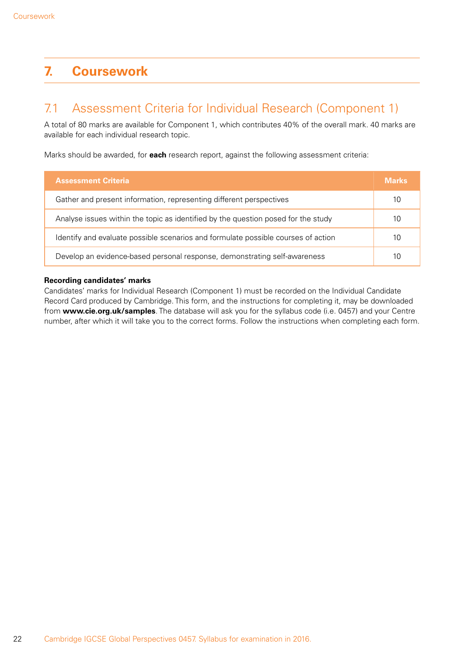# <span id="page-23-0"></span>**7. Coursework**

### 7.1 Assessment Criteria for Individual Research (Component 1)

A total of 80 marks are available for Component 1, which contributes 40% of the overall mark. 40 marks are available for each individual research topic.

Marks should be awarded, for **each** research report, against the following assessment criteria:

| <b>Assessment Criteria</b>                                                        | <b>Marks</b> |
|-----------------------------------------------------------------------------------|--------------|
| Gather and present information, representing different perspectives               | 10           |
| Analyse issues within the topic as identified by the question posed for the study | 10           |
| Identify and evaluate possible scenarios and formulate possible courses of action | 10           |
| Develop an evidence-based personal response, demonstrating self-awareness         | 10           |

#### **Recording candidates' marks**

Candidates' marks for Individual Research (Component 1) must be recorded on the Individual Candidate Record Card produced by Cambridge. This form, and the instructions for completing it, may be downloaded from **www.cie.org.uk/samples**. The database will ask you for the syllabus code (i.e. 0457) and your Centre number, after which it will take you to the correct forms. Follow the instructions when completing each form.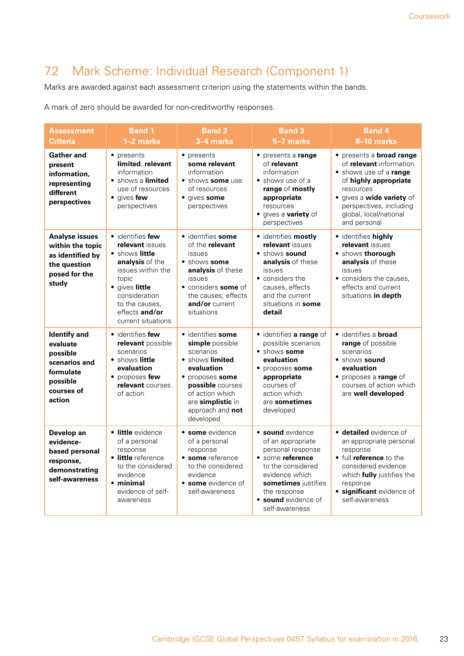# <span id="page-24-0"></span>7.2 Mark Scheme: Individual Research (Component 1)

Marks are awarded against each assessment criterion using the statements within the bands.

A mark of zero should be awarded for non-creditworthy responses.

| Assessment<br><b>Criteria</b>                                                                                 | <b>Band 1</b><br>1-2 marks                                                                                                                                                                          | <b>Band 2</b><br>3-4 marks                                                                                                                                                                                | <b>Band 3</b><br>5-7 marks                                                                                                                                                                                   | <b>Band 4</b><br>8-10 marks                                                                                                                                                                                                  |
|---------------------------------------------------------------------------------------------------------------|-----------------------------------------------------------------------------------------------------------------------------------------------------------------------------------------------------|-----------------------------------------------------------------------------------------------------------------------------------------------------------------------------------------------------------|--------------------------------------------------------------------------------------------------------------------------------------------------------------------------------------------------------------|------------------------------------------------------------------------------------------------------------------------------------------------------------------------------------------------------------------------------|
| <b>Gather and</b><br>present<br>information,<br>representing<br>different<br>perspectives                     | • presents<br>limited relevant<br>information<br>• shows a limited<br>use of resources<br>• gives few<br>perspectives                                                                               | • presents<br>some relevant<br>information<br>• shows some use<br>of resources<br>• gives some<br>perspectives                                                                                            | • presents a range<br>of relevant<br>information<br>• shows use of a<br>range of mostly<br>appropriate<br>resources<br>• gives a <b>variety</b> of<br>perspectives                                           | • presents a broad range<br>of <b>relevant</b> information<br>• shows use of a range<br>of highly appropriate<br>resources<br>• gives a wide variety of<br>perspectives, including<br>global, local/national<br>and personal |
| <b>Analyse issues</b><br>within the topic<br>as identified by<br>the question<br>posed for the<br>study       | • identifies few<br>relevant issues<br>• shows little<br>analysis of the<br>issues within the<br>topic<br>• gives little<br>consideration<br>to the causes.<br>effects and/or<br>current situations | · identifies some<br>of the relevant<br><i>issues</i><br>• shows some<br>analysis of these<br>issues<br>• considers some of<br>the causes, effects<br>and/or current<br>situations                        | · identifies mostly<br>relevant issues<br>• shows sound<br>analysis of these<br>issues<br>• considers the<br>causes, effects<br>and the current<br>situations in some<br>detail                              | · identifies highly<br>relevant issues<br>• shows thorough<br>analysis of these<br>issues<br>• considers the causes.<br>effects and current<br>situations in depth                                                           |
| <b>Identify</b> and<br>evaluate<br>possible<br>scenarios and<br>formulate<br>possible<br>courses of<br>action | • identifies few<br>relevant possible<br>scenarios<br>• shows little<br>evaluation<br>• proposes few<br>relevant courses<br>of action                                                               | • identifies some<br>simple possible<br>scenarios<br>• shows limited<br>evaluation<br>• proposes some<br><b>possible</b> courses<br>of action which<br>are simplistic in<br>approach and not<br>developed | · identifies a range of<br>possible scenarios<br>• shows some<br>evaluation<br>• proposes some<br>appropriate<br>courses of<br>action which<br>are sometimes<br>developed                                    | · identifies a <b>broad</b><br>range of possible<br>scenarios<br>· shows sound<br>evaluation<br>• proposes a range of<br>courses of action which<br>are well developed                                                       |
| Develop an<br>evidence-<br>based personal<br>response,<br>demonstrating<br>self-awareness                     | • little evidence<br>of a personal<br>response<br>• little reference<br>to the considered<br>evidence<br>• minimal<br>evidence of self-<br>awareness                                                | • some evidence<br>of a personal<br>response<br>• some reference<br>to the considered<br>evidence<br>• some evidence of<br>self-awareness                                                                 | <b>· sound</b> evidence<br>of an appropriate<br>personal response<br>• some reference<br>to the considered<br>evidence which<br>sometimes justifies<br>the response<br>• sound evidence of<br>self-awareness | · detailed evidence of<br>an appropriate personal<br>response<br>• full reference to the<br>considered evidence<br>which fully justifies the<br>response<br>• significant evidence of<br>self-awareness                      |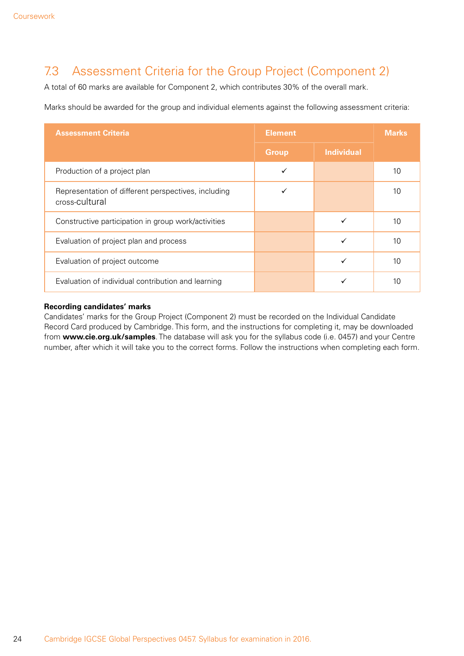# <span id="page-25-0"></span>7.3 Assessment Criteria for the Group Project (Component 2)

A total of 60 marks are available for Component 2, which contributes 30% of the overall mark.

Marks should be awarded for the group and individual elements against the following assessment criteria:

| <b>Assessment Criteria</b>                                            | <b>Element</b> |                   | <b>Marks</b> |
|-----------------------------------------------------------------------|----------------|-------------------|--------------|
|                                                                       | <b>Group</b>   | <b>Individual</b> |              |
| Production of a project plan                                          |                |                   | 10           |
| Representation of different perspectives, including<br>cross-cultural |                |                   | 10           |
| Constructive participation in group work/activities                   |                | ✓                 | 10           |
| Evaluation of project plan and process                                |                | ✓                 | 10           |
| Evaluation of project outcome                                         |                | ✓                 | 10           |
| Evaluation of individual contribution and learning                    |                |                   | 10           |

#### **Recording candidates' marks**

Candidates' marks for the Group Project (Component 2) must be recorded on the Individual Candidate Record Card produced by Cambridge. This form, and the instructions for completing it, may be downloaded from **www.cie.org.uk/samples**. The database will ask you for the syllabus code (i.e. 0457) and your Centre number, after which it will take you to the correct forms. Follow the instructions when completing each form.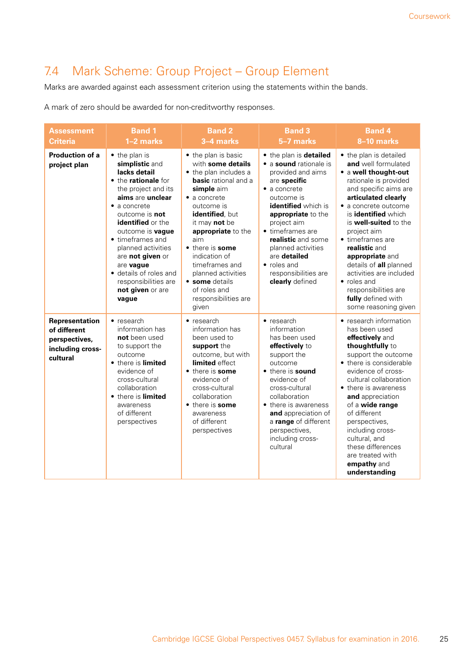# <span id="page-26-0"></span>7.4 Mark Scheme: Group Project – Group Element

Marks are awarded against each assessment criterion using the statements within the bands.

A mark of zero should be awarded for non-creditworthy responses.

| <b>Assessment</b><br><b>Criteria</b>                                            | <b>Band 1</b><br>1-2 marks                                                                                                                                                                                                                                                                                                                                                          | <b>Band 2</b><br>3-4 marks                                                                                                                                                                                                                                                                                                                                                  | <b>Band 3</b><br>5-7 marks                                                                                                                                                                                                                                                                                                        | <b>Band 4</b><br>8-10 marks                                                                                                                                                                                                                                                                                                                                                                                                                    |
|---------------------------------------------------------------------------------|-------------------------------------------------------------------------------------------------------------------------------------------------------------------------------------------------------------------------------------------------------------------------------------------------------------------------------------------------------------------------------------|-----------------------------------------------------------------------------------------------------------------------------------------------------------------------------------------------------------------------------------------------------------------------------------------------------------------------------------------------------------------------------|-----------------------------------------------------------------------------------------------------------------------------------------------------------------------------------------------------------------------------------------------------------------------------------------------------------------------------------|------------------------------------------------------------------------------------------------------------------------------------------------------------------------------------------------------------------------------------------------------------------------------------------------------------------------------------------------------------------------------------------------------------------------------------------------|
| <b>Production of a</b><br>project plan                                          | • the plan is<br>simplistic and<br>lacks detail<br>• the rationale for<br>the project and its<br>aims are unclear<br>$\bullet$ a concrete<br>outcome is <b>not</b><br><b>identified</b> or the<br>outcome is <b>vaque</b><br>• timeframes and<br>planned activities<br>are not given or<br>are vague<br>• details of roles and<br>responsibilities are<br>not given or are<br>vague | • the plan is basic<br>with some details<br>• the plan includes a<br><b>basic</b> rational and a<br>simple aim<br>$\bullet$ a concrete<br>outcome is<br>identified, but<br>it may <b>not</b> be<br>appropriate to the<br>aim<br>• there is some<br>indication of<br>timeframes and<br>planned activities<br>• some details<br>of roles and<br>responsibilities are<br>given | • the plan is detailed<br>• a sound rationale is<br>provided and aims<br>are specific<br>$\bullet$ a concrete<br>outcome is<br>identified which is<br>appropriate to the<br>project aim<br>• timeframes are<br>realistic and some<br>planned activities<br>are detailed<br>• roles and<br>responsibilities are<br>clearly defined | • the plan is detailed<br>and well formulated<br>• a well thought-out<br>rationale is provided<br>and specific aims are<br>articulated clearly<br>· a concrete outcome<br>is <b>identified</b> which<br>is well-suited to the<br>project aim<br>• timeframes are<br>realistic and<br>appropriate and<br>details of all planned<br>activities are included<br>• roles and<br>responsibilities are<br>fully defined with<br>some reasoning given |
| Representation<br>of different<br>perspectives,<br>including cross-<br>cultural | $\bullet$ research<br>information has<br>not been used<br>to support the<br>outcome<br>• there is limited<br>evidence of<br>cross-cultural<br>collaboration<br>• there is limited<br>awareness<br>of different<br>perspectives                                                                                                                                                      | $\bullet$ research<br>information has<br>been used to<br>support the<br>outcome, but with<br>limited effect<br>• there is some<br>evidence of<br>cross-cultural<br>collaboration<br>• there is some<br>awareness<br>of different<br>perspectives                                                                                                                            | $\bullet$ research<br>information<br>has been used<br>effectively to<br>support the<br>outcome<br>• there is sound<br>evidence of<br>cross-cultural<br>collaboration<br>• there is awareness<br>and appreciation of<br>a range of different<br>perspectives,<br>including cross-<br>cultural                                      | • research information<br>has been used<br>effectively and<br>thoughtfully to<br>support the outcome<br>• there is considerable<br>evidence of cross-<br>cultural collaboration<br>• there is awareness<br>and appreciation<br>of a wide range<br>of different<br>perspectives,<br>including cross-<br>cultural, and<br>these differences<br>are treated with<br>empathy and<br>understanding                                                  |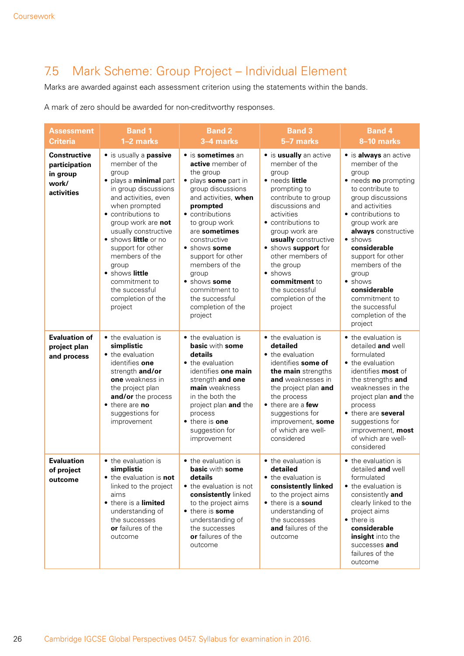# <span id="page-27-0"></span>7.5 Mark Scheme: Group Project – Individual Element

Marks are awarded against each assessment criterion using the statements within the bands.

A mark of zero should be awarded for non-creditworthy responses.

| <b>Assessment</b><br><b>Criteria</b>                                    | <b>Band 1</b><br>1-2 marks                                                                                                                                                                                                                                                                                                                                                   | <b>Band 2</b><br>3-4 marks                                                                                                                                                                                                                                                                                                                                  | <b>Band 3</b><br>5-7 marks                                                                                                                                                                                                                                                                                                                       | <b>Band 4</b><br>8-10 marks                                                                                                                                                                                                                                                                                                                                                |
|-------------------------------------------------------------------------|------------------------------------------------------------------------------------------------------------------------------------------------------------------------------------------------------------------------------------------------------------------------------------------------------------------------------------------------------------------------------|-------------------------------------------------------------------------------------------------------------------------------------------------------------------------------------------------------------------------------------------------------------------------------------------------------------------------------------------------------------|--------------------------------------------------------------------------------------------------------------------------------------------------------------------------------------------------------------------------------------------------------------------------------------------------------------------------------------------------|----------------------------------------------------------------------------------------------------------------------------------------------------------------------------------------------------------------------------------------------------------------------------------------------------------------------------------------------------------------------------|
| <b>Constructive</b><br>participation<br>in group<br>work/<br>activities | • is usually a passive<br>member of the<br>group<br>• plays a minimal part<br>in group discussions<br>and activities, even<br>when prompted<br>• contributions to<br>group work are not<br>usually constructive<br>· shows little or no<br>support for other<br>members of the<br>group<br>• shows little<br>commitment to<br>the successful<br>completion of the<br>project | · is sometimes an<br>active member of<br>the group<br>• plays some part in<br>group discussions<br>and activities, when<br>prompted<br>• contributions<br>to group work<br>are sometimes<br>constructive<br>• shows some<br>support for other<br>members of the<br>group<br>• shows some<br>commitment to<br>the successful<br>completion of the<br>project | · is usually an active<br>member of the<br>group<br>• needs little<br>prompting to<br>contribute to group<br>discussions and<br>activities<br>• contributions to<br>group work are<br>usually constructive<br>• shows support for<br>other members of<br>the group<br>• shows<br>commitment to<br>the successful<br>completion of the<br>project | • is always an active<br>member of the<br>group<br>• needs no prompting<br>to contribute to<br>group discussions<br>and activities<br>• contributions to<br>group work are<br>always constructive<br>• shows<br>considerable<br>support for other<br>members of the<br>group<br>• shows<br>considerable<br>commitment to<br>the successful<br>completion of the<br>project |
| <b>Evaluation of</b><br>project plan<br>and process                     | • the evaluation is<br>simplistic<br>• the evaluation<br>identifies one<br>strength and/or<br>one weakness in<br>the project plan<br>and/or the process<br>• there are no<br>suggestions for<br>improvement                                                                                                                                                                  | • the evaluation is<br><b>basic with some</b><br>details<br>• the evaluation<br>identifies one main<br>strength and one<br>main weakness<br>in the both the<br>project plan and the<br>process<br>• there is one<br>suggestion for<br>improvement                                                                                                           | • the evaluation is<br>detailed<br>• the evaluation<br>identifies some of<br>the main strengths<br>and weaknesses in<br>the project plan and<br>the process<br>• there are a few<br>suggestions for<br>improvement, some<br>of which are well-<br>considered                                                                                     | • the evaluation is<br>detailed and well<br>formulated<br>• the evaluation<br>identifies most of<br>the strengths and<br>weaknesses in the<br>project plan and the<br>process<br>• there are several<br>suggestions for<br>improvement, most<br>of which are well-<br>considered                                                                                           |
| <b>Evaluation</b><br>of project<br>outcome                              | • the evaluation is<br>simplistic<br>• the evaluation is not<br>linked to the project<br>aims<br>• there is a limited<br>understanding of<br>the successes<br>or failures of the<br>outcome                                                                                                                                                                                  | • the evaluation is<br><b>basic</b> with some<br>details<br>• the evaluation is not<br>consistently linked<br>to the project aims<br>• there is some<br>understanding of<br>the successes<br>or failures of the<br>outcome                                                                                                                                  | • the evaluation is<br>detailed<br>• the evaluation is<br>consistently linked<br>to the project aims<br>• there is a sound<br>understanding of<br>the successes<br>and failures of the<br>outcome                                                                                                                                                | • the evaluation is<br>detailed and well<br>formulated<br>• the evaluation is<br>consistently and<br>clearly linked to the<br>project aims<br>• there is<br>considerable<br>insight into the<br>successes and<br>failures of the<br>outcome                                                                                                                                |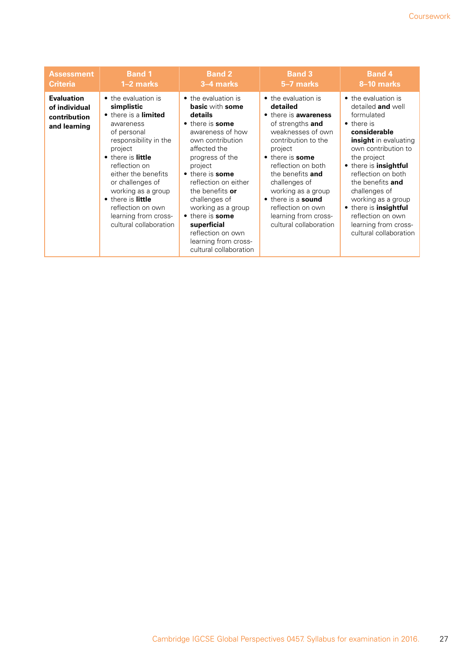| <b>Assessment</b>                                                  | <b>Band 1</b>                                                                                                                                                                                                                                                                                                                | <b>Band 2</b>                                                                                                                                                                                                                                                                                                                                                                   | <b>Band 3</b>                                                                                                                                                                                                                                                                                                                              | <b>Band 4</b>                                                                                                                                                                                                                                                                                                                                                                |
|--------------------------------------------------------------------|------------------------------------------------------------------------------------------------------------------------------------------------------------------------------------------------------------------------------------------------------------------------------------------------------------------------------|---------------------------------------------------------------------------------------------------------------------------------------------------------------------------------------------------------------------------------------------------------------------------------------------------------------------------------------------------------------------------------|--------------------------------------------------------------------------------------------------------------------------------------------------------------------------------------------------------------------------------------------------------------------------------------------------------------------------------------------|------------------------------------------------------------------------------------------------------------------------------------------------------------------------------------------------------------------------------------------------------------------------------------------------------------------------------------------------------------------------------|
| <b>Criteria</b>                                                    | 1–2 marks                                                                                                                                                                                                                                                                                                                    | 3–4 marks                                                                                                                                                                                                                                                                                                                                                                       | 5-7 marks                                                                                                                                                                                                                                                                                                                                  | 8-10 marks                                                                                                                                                                                                                                                                                                                                                                   |
| <b>Evaluation</b><br>of individual<br>contribution<br>and learning | • the evaluation is<br>simplistic<br>• there is a limited<br>awareness<br>of personal<br>responsibility in the<br>project<br>• there is little<br>reflection on<br>either the benefits<br>or challenges of<br>working as a group<br>• there is little<br>reflection on own<br>learning from cross-<br>cultural collaboration | • the evaluation is<br><b>basic</b> with some<br>details<br>• there is some<br>awareness of how<br>own contribution<br>affected the<br>progress of the<br>project<br>• there is some<br>reflection on either<br>the benefits or<br>challenges of<br>working as a group<br>• there is some<br>superficial<br>reflection on own<br>learning from cross-<br>cultural collaboration | • the evaluation is<br>detailed<br>• there is <b>awareness</b><br>of strengths and<br>weaknesses of own<br>contribution to the<br>project<br>• there is some<br>reflection on both<br>the benefits and<br>challenges of<br>working as a group<br>• there is a sound<br>reflection on own<br>learning from cross-<br>cultural collaboration | • the evaluation is<br>detailed and well<br>formulated<br>$\bullet$ there is<br>considerable<br><b>insight</b> in evaluating<br>own contribution to<br>the project<br>• there is insightful<br>reflection on both<br>the benefits and<br>challenges of<br>working as a group<br>• there is insightful<br>reflection on own<br>learning from cross-<br>cultural collaboration |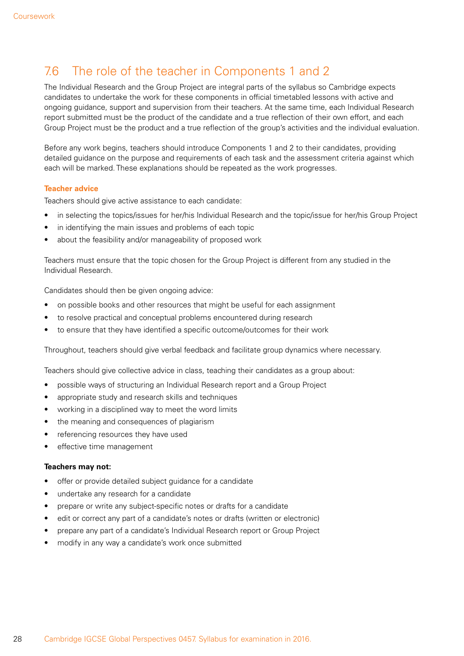# <span id="page-29-0"></span>7.6 The role of the teacher in Components 1 and 2

The Individual Research and the Group Project are integral parts of the syllabus so Cambridge expects candidates to undertake the work for these components in official timetabled lessons with active and ongoing guidance, support and supervision from their teachers. At the same time, each Individual Research report submitted must be the product of the candidate and a true reflection of their own effort, and each Group Project must be the product and a true reflection of the group's activities and the individual evaluation.

Before any work begins, teachers should introduce Components 1 and 2 to their candidates, providing detailed guidance on the purpose and requirements of each task and the assessment criteria against which each will be marked. These explanations should be repeated as the work progresses.

#### **Teacher advice**

Teachers should give active assistance to each candidate:

- in selecting the topics/issues for her/his Individual Research and the topic/issue for her/his Group Project
- in identifying the main issues and problems of each topic
- about the feasibility and/or manageability of proposed work

Teachers must ensure that the topic chosen for the Group Project is different from any studied in the Individual Research.

Candidates should then be given ongoing advice:

- on possible books and other resources that might be useful for each assignment
- to resolve practical and conceptual problems encountered during research
- to ensure that they have identified a specific outcome/outcomes for their work

Throughout, teachers should give verbal feedback and facilitate group dynamics where necessary.

Teachers should give collective advice in class, teaching their candidates as a group about:

- possible ways of structuring an Individual Research report and a Group Project
- appropriate study and research skills and techniques
- working in a disciplined way to meet the word limits
- the meaning and consequences of plagiarism
- referencing resources they have used
- effective time management

#### **Teachers may not:**

- offer or provide detailed subject guidance for a candidate
- undertake any research for a candidate
- prepare or write any subject-specific notes or drafts for a candidate
- edit or correct any part of a candidate's notes or drafts (written or electronic)
- prepare any part of a candidate's Individual Research report or Group Project
- modify in any way a candidate's work once submitted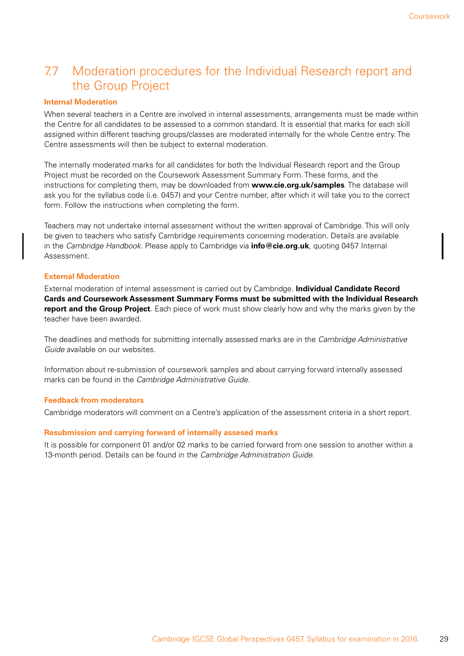# <span id="page-30-0"></span>7.7 Moderation procedures for the Individual Research report and the Group Project

#### **Internal Moderation**

When several teachers in a Centre are involved in internal assessments, arrangements must be made within the Centre for all candidates to be assessed to a common standard. It is essential that marks for each skill assigned within different teaching groups/classes are moderated internally for the whole Centre entry. The Centre assessments will then be subject to external moderation.

The internally moderated marks for all candidates for both the Individual Research report and the Group Project must be recorded on the Coursework Assessment Summary Form. These forms, and the instructions for completing them, may be downloaded from **www.cie.org.uk/samples**. The database will ask you for the syllabus code (i.e. 0457) and your Centre number, after which it will take you to the correct form. Follow the instructions when completing the form.

Teachers may not undertake internal assessment without the written approval of Cambridge. This will only be given to teachers who satisfy Cambridge requirements concerning moderation. Details are available in the *Cambridge Handbook*. Please apply to Cambridge via **info@cie.org.uk**, quoting 0457 Internal Assessment.

#### **External Moderation**

External moderation of internal assessment is carried out by Cambridge. **Individual Candidate Record Cards and Coursework Assessment Summary Forms must be submitted with the Individual Research report and the Group Project**. Each piece of work must show clearly how and why the marks given by the teacher have been awarded.

The deadlines and methods for submitting internally assessed marks are in the *Cambridge Administrative Guide* available on our websites.

Information about re-submission of coursework samples and about carrying forward internally assessed marks can be found in the *Cambridge Administrative Guide*.

#### **Feedback from moderators**

Cambridge moderators will comment on a Centre's application of the assessment criteria in a short report.

#### **Resubmission and carrying forward of internally assesed marks**

It is possible for component 01 and/or 02 marks to be carried forward from one session to another within a 13-month period. Details can be found in the *Cambridge Administration Guide*.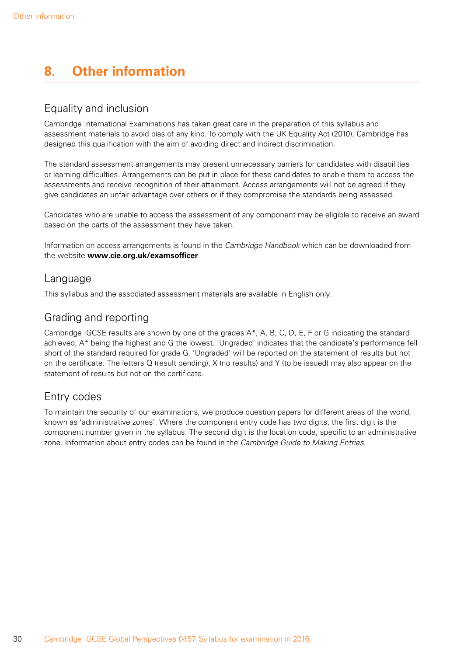# <span id="page-31-0"></span>**8. Other information**

### Equality and inclusion

Cambridge International Examinations has taken great care in the preparation of this syllabus and assessment materials to avoid bias of any kind. To comply with the UK Equality Act (2010), Cambridge has designed this qualification with the aim of avoiding direct and indirect discrimination.

The standard assessment arrangements may present unnecessary barriers for candidates with disabilities or learning difficulties. Arrangements can be put in place for these candidates to enable them to access the assessments and receive recognition of their attainment. Access arrangements will not be agreed if they give candidates an unfair advantage over others or if they compromise the standards being assessed.

Candidates who are unable to access the assessment of any component may be eligible to receive an award based on the parts of the assessment they have taken.

Information on access arrangements is found in the *Cambridge Handbook* which can be downloaded from the website **www.cie.org.uk/examsofficer**

### Language

This syllabus and the associated assessment materials are available in English only.

### Grading and reporting

Cambridge IGCSE results are shown by one of the grades A\*, A, B, C, D, E, F or G indicating the standard achieved, A\* being the highest and G the lowest. 'Ungraded' indicates that the candidate's performance fell short of the standard required for grade G. 'Ungraded' will be reported on the statement of results but not on the certificate. The letters Q (result pending), X (no results) and Y (to be issued) may also appear on the statement of results but not on the certificate.

### Entry codes

To maintain the security of our examinations, we produce question papers for different areas of the world, known as 'administrative zones'. Where the component entry code has two digits, the first digit is the component number given in the syllabus. The second digit is the location code, specific to an administrative zone. Information about entry codes can be found in the *Cambridge Guide to Making Entries*.